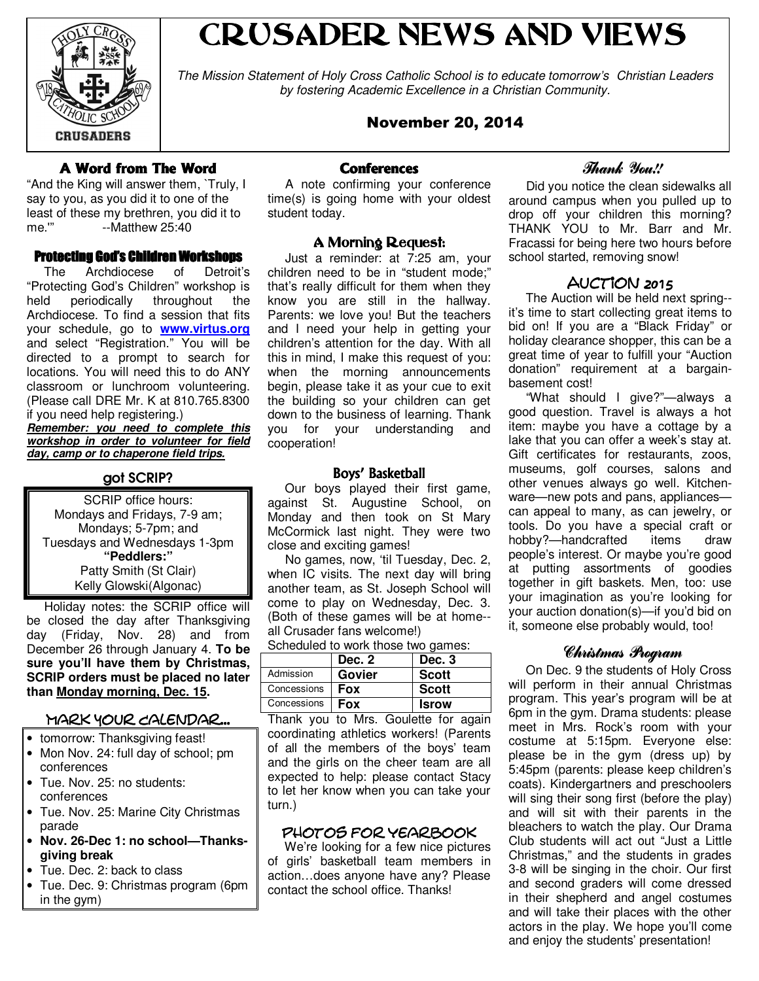

# CRUSADER NEWS AND VIEWS

The Mission Statement of Holy Cross Catholic School is to educate tomorrow's Christian Leaders by fostering Academic Excellence in a Christian Community.

# November 20, 2014

# A Word from The Word

"And the King will answer them, `Truly, I say to you, as you did it to one of the least of these my brethren, you did it to me.'" --Matthew 25:40

#### **Protecting God's Children Workshops**

 The Archdiocese of Detroit's "Protecting God's Children" workshop is held periodically throughout the Archdiocese. To find a session that fits your schedule, go to **www.virtus.org** and select "Registration." You will be directed to a prompt to search for locations. You will need this to do ANY classroom or lunchroom volunteering. (Please call DRE Mr. K at 810.765.8300 if you need help registering.)

**Remember: you need to complete this workshop in order to volunteer for field day, camp or to chaperone field trips.**

## got SCRIP?

SCRIP office hours: Mondays and Fridays, 7-9 am; Mondays; 5-7pm; and Tuesdays and Wednesdays 1-3pm **"Peddlers:"** Patty Smith (St Clair) Kelly Glowski(Algonac)

 Holiday notes: the SCRIP office will be closed the day after Thanksgiving day (Friday, Nov. 28) and from December 26 through January 4. **To be sure you'll have them by Christmas, SCRIP orders must be placed no later than Monday morning, Dec. 15.**

#### Mark Your Calendar...

- tomorrow: Thanksgiving feast!
- Mon Nov. 24: full day of school; pm conferences
- Tue. Nov. 25: no students: conferences
- Tue. Nov. 25: Marine City Christmas parade
- **Nov. 26-Dec 1: no school—Thanksgiving break**
- Tue. Dec. 2: back to class
- Tue. Dec. 9: Christmas program (6pm in the gym)

#### **Conferences**

 A note confirming your conference time(s) is going home with your oldest student today.

#### A Morning Request:

 Just a reminder: at 7:25 am, your children need to be in "student mode;" that's really difficult for them when they know you are still in the hallway. Parents: we love you! But the teachers and I need your help in getting your children's attention for the day. With all this in mind, I make this request of you: when the morning announcements begin, please take it as your cue to exit the building so your children can get down to the business of learning. Thank you for your understanding and cooperation!

#### Boys' Basketball

 Our boys played their first game, against St. Augustine School, on Monday and then took on St Mary McCormick last night. They were two close and exciting games!

 No games, now, 'til Tuesday, Dec. 2, when IC visits. The next day will bring another team, as St. Joseph School will come to play on Wednesday, Dec. 3. (Both of these games will be at home- all Crusader fans welcome!)

Scheduled to work those two games:

|             | Dec. 2     | Dec. 3       |
|-------------|------------|--------------|
| Admission   | Govier     | <b>Scott</b> |
| Concessions | Fox        | <b>Scott</b> |
| Concessions | <b>Fox</b> | <b>Isrow</b> |

Thank you to Mrs. Goulette for again coordinating athletics workers! (Parents of all the members of the boys' team and the girls on the cheer team are all expected to help: please contact Stacy to let her know when you can take your turn.)

#### photos for yearbook

 We're looking for a few nice pictures of girls' basketball team members in action…does anyone have any? Please contact the school office. Thanks!

# Thank You!!

 Did you notice the clean sidewalks all around campus when you pulled up to drop off your children this morning? THANK YOU to Mr. Barr and Mr. Fracassi for being here two hours before school started, removing snow!

#### Auction 2015

 The Auction will be held next spring- it's time to start collecting great items to bid on! If you are a "Black Friday" or holiday clearance shopper, this can be a great time of year to fulfill your "Auction donation" requirement at a bargainbasement cost!

 "What should I give?"—always a good question. Travel is always a hot item: maybe you have a cottage by a lake that you can offer a week's stay at. Gift certificates for restaurants, zoos, museums, golf courses, salons and other venues always go well. Kitchenware—new pots and pans, appliances can appeal to many, as can jewelry, or tools. Do you have a special craft or hobby?—handcrafted items draw people's interest. Or maybe you're good at putting assortments of goodies together in gift baskets. Men, too: use your imagination as you're looking for your auction donation(s)—if you'd bid on it, someone else probably would, too!

#### Christmas Program

 On Dec. 9 the students of Holy Cross will perform in their annual Christmas program. This year's program will be at 6pm in the gym. Drama students: please meet in Mrs. Rock's room with your costume at 5:15pm. Everyone else: please be in the gym (dress up) by 5:45pm (parents: please keep children's coats). Kindergartners and preschoolers will sing their song first (before the play) and will sit with their parents in the bleachers to watch the play. Our Drama Club students will act out "Just a Little Christmas," and the students in grades 3-8 will be singing in the choir. Our first and second graders will come dressed in their shepherd and angel costumes and will take their places with the other actors in the play. We hope you'll come and enjoy the students' presentation!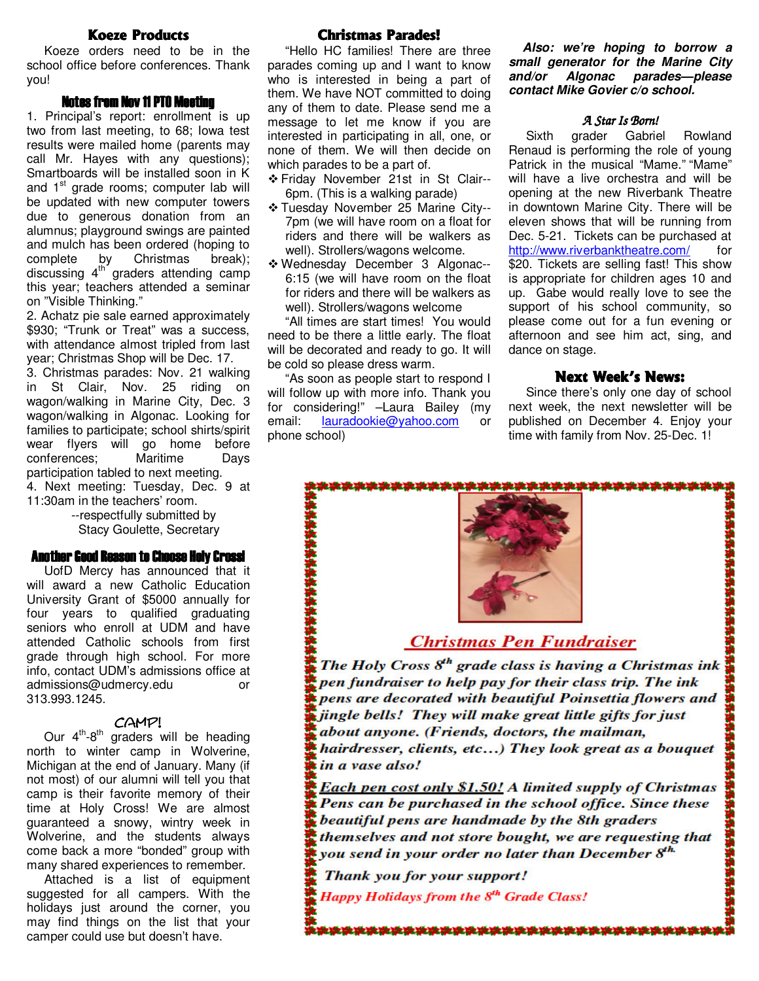#### **Koeze Products**

 Koeze orders need to be in the school office before conferences. Thank you!

#### Notes from Nov 11 PTO Meeting

1. Principal's report: enrollment is up two from last meeting, to 68; Iowa test results were mailed home (parents may call Mr. Hayes with any questions); Smartboards will be installed soon in K and 1<sup>st</sup> grade rooms; computer lab will be updated with new computer towers due to generous donation from an alumnus; playground swings are painted and mulch has been ordered (hoping to complete by Christmas break); discussing 4<sup>th</sup> graders attending camp this year; teachers attended a seminar on "Visible Thinking."

2. Achatz pie sale earned approximately \$930; "Trunk or Treat" was a success, with attendance almost tripled from last year; Christmas Shop will be Dec. 17.

3. Christmas parades: Nov. 21 walking in St Clair, Nov. 25 riding on wagon/walking in Marine City, Dec. 3 wagon/walking in Algonac. Looking for families to participate; school shirts/spirit wear flyers will go home before conferences; Maritime Days participation tabled to next meeting. 4. Next meeting: Tuesday, Dec. 9 at 11:30am in the teachers' room.

 --respectfully submitted by Stacy Goulette, Secretary

#### Another Good Reason to Choose Holy Cross!

 UofD Mercy has announced that it will award a new Catholic Education University Grant of \$5000 annually for four years to qualified graduating seniors who enroll at UDM and have attended Catholic schools from first grade through high school. For more info, contact UDM's admissions office at admissions@udmercy.edu or 313.993.1245.

#### camp!

Our  $4<sup>th</sup>-8<sup>th</sup>$  graders will be heading north to winter camp in Wolverine, Michigan at the end of January. Many (if not most) of our alumni will tell you that camp is their favorite memory of their time at Holy Cross! We are almost guaranteed a snowy, wintry week in Wolverine, and the students always come back a more "bonded" group with many shared experiences to remember.

 Attached is a list of equipment suggested for all campers. With the holidays just around the corner, you may find things on the list that your camper could use but doesn't have.

#### **Christmas Parades!**

 "Hello HC families! There are three parades coming up and I want to know who is interested in being a part of them. We have NOT committed to doing any of them to date. Please send me a message to let me know if you are interested in participating in all, one, or none of them. We will then decide on which parades to be a part of.

- Friday November 21st in St Clair-- 6pm. (This is a walking parade)
- \* Tuesday November 25 Marine City--7pm (we will have room on a float for riders and there will be walkers as well). Strollers/wagons welcome.
- Wednesday December 3 Algonac-- 6:15 (we will have room on the float for riders and there will be walkers as well). Strollers/wagons welcome

 "All times are start times! You would need to be there a little early. The float will be decorated and ready to go. It will be cold so please dress warm.

 "As soon as people start to respond I will follow up with more info. Thank you for considering!" –Laura Bailey (my email: lauradookie@yahoo.com or phone school)

> l ľ

 **Also: we're hoping to borrow a small generator for the Marine City and/or Algonac parades—please contact Mike Govier c/o school.** 

#### A Star Is Born!

 Sixth grader Gabriel Rowland Renaud is performing the role of young Patrick in the musical "Mame." "Mame" will have a live orchestra and will be opening at the new Riverbank Theatre in downtown Marine City. There will be eleven shows that will be running from Dec. 5-21. Tickets can be purchased at http://www.riverbanktheatre.com/ for \$20. Tickets are selling fast! This show is appropriate for children ages 10 and up. Gabe would really love to see the support of his school community, so please come out for a fun evening or afternoon and see him act, sing, and dance on stage.

#### Next Week's News:

 Since there's only one day of school next week, the next newsletter will be published on December 4. Enjoy your time with family from Nov. 25-Dec. 1!



# **Christmas Pen Fundraiser**

The Holy Cross 8<sup>th</sup> grade class is having a Christmas ink pen fundraiser to help pay for their class trip. The ink pens are decorated with beautiful Poinsettia flowers and jingle bells! They will make great little gifts for just about anyone. (Friends, doctors, the mailman, hairdresser, clients, etc...) They look great as a bouquet in a vase also! l

Each pen cost only \$1.50! A limited supply of Christmas Pens can be purchased in the school office. Since these l pens are handma themselves and not store bought, we are requesting that you send in your order no later than December 8<sup>th</sup>.

\*\*\*\*\*\*\*\*\*\*\*\*\*\*\*\*\*\*\*\*\*\*\*\*\*\*\*\*\*\*

j ŗ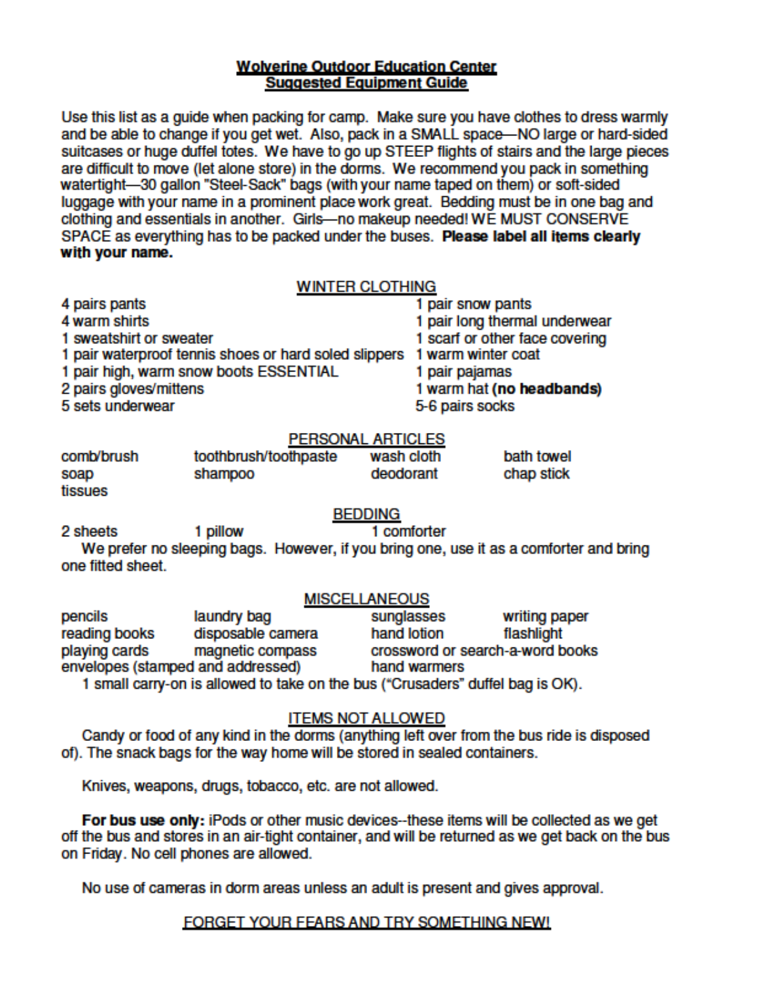## **Wolverine Outdoor Education Center Suggested Equipment Guide**

Use this list as a guide when packing for camp. Make sure you have clothes to dress warmly and be able to change if you get wet. Also, pack in a SMALL space-NO large or hard-sided suitcases or huge duffel totes. We have to go up STEEP flights of stairs and the large pieces are difficult to move (let alone store) in the dorms. We recommend you pack in something watertight-30 gallon "Steel-Sack" bags (with your name taped on them) or soft-sided luggage with your name in a prominent place work great. Bedding must be in one bag and clothing and essentials in another. Girls-no makeup needed! WE MUST CONSERVE SPACE as everything has to be packed under the buses. Please label all items clearly with your name.

# **WINTER CLOTHING**

| + wα⊓π əп⊪ю<br>1 sweatshirt or sweater |                                                                                                                    |                         | <b>I pail fung themal underwear</b><br>1 scarf or other face covering |
|----------------------------------------|--------------------------------------------------------------------------------------------------------------------|-------------------------|-----------------------------------------------------------------------|
| 2 pairs gloves/mittens                 | 1 pair waterproof tennis shoes or hard soled slippers 1 warm winter coat<br>1 pair high, warm snow boots ESSENTIAL | 1 pair pajamas          | 1 warm hat (no headbands)                                             |
| 5 sets underwear                       |                                                                                                                    | 5-6 pairs socks         |                                                                       |
|                                        | <b>PERSONAL ARTICLES</b>                                                                                           |                         |                                                                       |
| comb/brush<br>soap                     | toothbrush/toothpaste<br>shampoo                                                                                   | wash cloth<br>deodorant | bath towel<br>chap stick                                              |

4 pairs pants

4 warm shirts

tissues

# **BEDDING**

1 comforter 2 sheets 1 pillow We prefer no sleeping bags. However, if you bring one, use it as a comforter and bring one fitted sheet.

# **MISCELLANEOUS**

| pencils                                                                        | laundry bag       | sunglasses                       | writing paper |  |
|--------------------------------------------------------------------------------|-------------------|----------------------------------|---------------|--|
| reading books                                                                  | disposable camera | hand lotion                      | flashlight    |  |
| playing cards                                                                  | magnetic compass  | crossword or search-a-word books |               |  |
| envelopes (stamped and addressed)<br>hand warmers                              |                   |                                  |               |  |
| 1 small carry-on is allowed to take on the bus ("Crusaders" duffel bag is OK). |                   |                                  |               |  |

# **ITEMS NOT ALLOWED**

Candy or food of any kind in the dorms (anything left over from the bus ride is disposed of). The snack bags for the way home will be stored in sealed containers.

Knives, weapons, drugs, tobacco, etc. are not allowed.

For bus use only: iPods or other music devices--these items will be collected as we get off the bus and stores in an air-tight container, and will be returned as we get back on the bus on Friday. No cell phones are allowed.

No use of cameras in dorm areas unless an adult is present and gives approval.

# FORGET YOUR FEARS AND TRY SOMETHING NEW!

1 pair snow pants

1 pair long thermal underwear